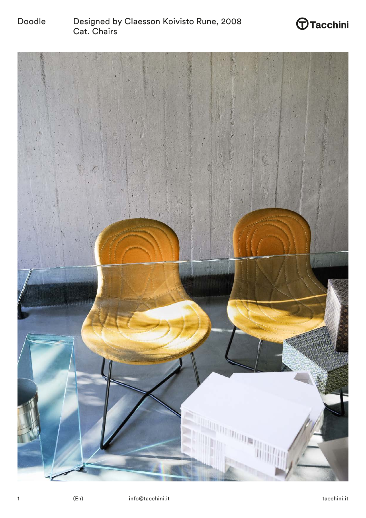

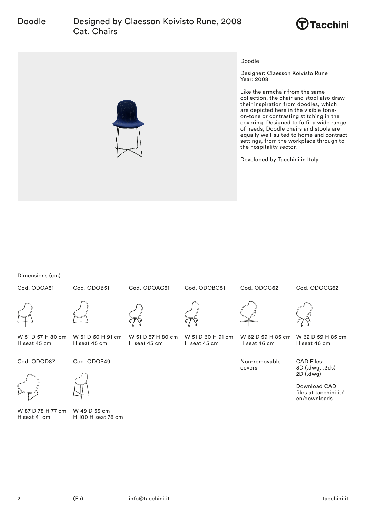# Doodle Designed by Claesson Koivisto Rune, 2008 Cat. Chairs





Doodle

Designer: Claesson Koivisto Rune Year: 2008

Like the armchair from the same collection, the chair and stool also draw their inspiration from doodles, which are depicted here in the visible toneon-tone or contrasting stitching in the covering. Designed to fulfil a wide range of needs, Doodle chairs and stools are equally well-suited to home and contract settings, from the workplace through to the hospitality sector.

Developed by Tacchini in Italy

| Dimensions (cm) |              |              |              |                                                                                                                             |                                                       |
|-----------------|--------------|--------------|--------------|-----------------------------------------------------------------------------------------------------------------------------|-------------------------------------------------------|
| Cod. ODOA51     | Cod. ODOB51  | Cod. ODOAG51 | Cod. ODOBG51 | Cod. ODOC62                                                                                                                 | Cod. ODOCG62                                          |
|                 |              |              |              |                                                                                                                             |                                                       |
| H seat 45 cm    | H seat 45 cm | H seat 45 cm | H seat 45 cm | W 51 D 57 H 80 cm W 51 D 60 H 91 cm W 51 D 57 H 80 cm W 51 D 60 H 91 cm W 62 D 59 H 85 cm W 62 D 59 H 85 cm<br>H seat 46 cm | H seat 46 cm                                          |
| Cod. ODOD87     | Cod. ODOS49  |              |              | Non-removable<br>covers                                                                                                     | <b>CAD Files:</b><br>3D (.dwg, .3ds)<br>2D (.dwg)     |
|                 |              |              |              |                                                                                                                             | Download CAD<br>files at tacchini.it/<br>en/downloads |

W 87 D 78 H 77 cm W 49 D 53 cm H seat 41 cm

H 100 H seat 76 cm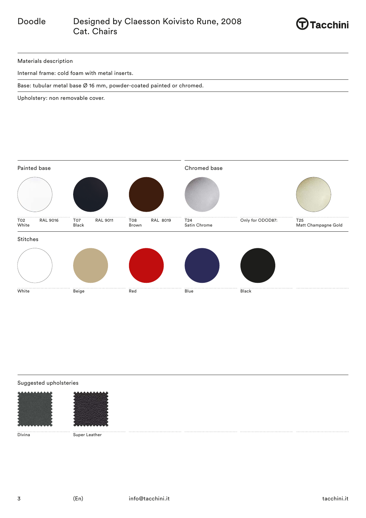

Materials description

Internal frame: cold foam with metal inserts.

Base: tubular metal base Ø 16 mm, powder-coated painted or chromed.

Upholstery: non removable cover.



# Suggested upholsteries



Divina Super Leather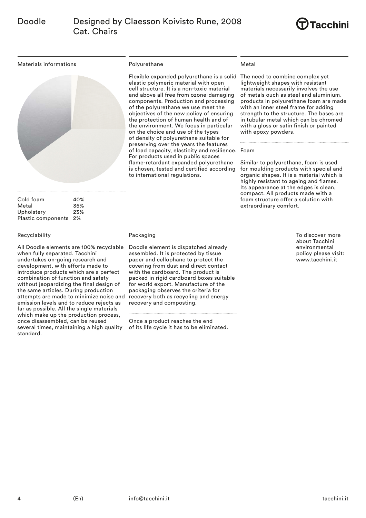

Materials informations



| Cold foam             | 40% |
|-----------------------|-----|
| Metal                 | 35% |
| Upholstery            | 23% |
| Plastic components 2% |     |

## Recyclability

All Doodle elements are 100% recyclable when fully separated. Tacchini undertakes on-going research and development, with efforts made to introduce products which are a perfect combination of function and safety without jeopardizing the final design of the same articles. During production attempts are made to minimize noise and emission levels and to reduce rejects as far as possible. All the single materials which make up the production process, once disassembled, can be reused several times, maintaining a high quality standard.

### Polyurethane

Flexible expanded polyurethane is a solid The need to combine complex yet elastic polymeric material with open cell structure. It is a non-toxic material and above all free from ozone-damaging components. Production and processing of the polyurethane we use meet the objectives of the new policy of ensuring the protection of human health and of the environment. We focus in particular on the choice and use of the types of density of polyurethane suitable for preserving over the years the features of load capacity, elasticity and resilience. Foam For products used in public spaces flame-retardant expanded polyurethane is chosen, tested and certified according to international regulations.

### Metal

lightweight shapes with resistant materials necessarily involves the use of metals ouch as steel and aluminium. products in polyurethane foam are made with an inner steel frame for adding strength to the structure. The bases are in tubular metal which can be chromed with a gloss or satin finish or painted with epoxy powders.

Similar to polyurethane, foam is used for moulding products with special and organic shapes. It is a material which is highly resistant to ageing and flames. Its appearance at the edges is clean, compact. All products made with a foam structure offer a solution with extraordinary comfort.

Packaging

Doodle element is dispatched already assembled. It is protected by tissue paper and cellophane to protect the covering from dust and direct contact with the cardboard. The product is packed in rigid cardboard boxes suitable for world export. Manufacture of the packaging observes the criteria for recovery both as recycling and energy recovery and composting.

Once a product reaches the end of its life cycle it has to be eliminated. To discover more about Tacchini environmental policy please visit: www.tacchini.it